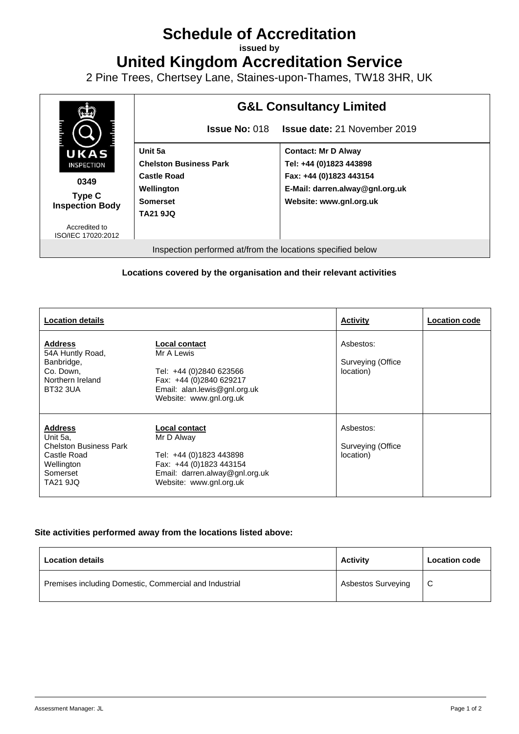## **Schedule of Accreditation**

**issued by**

**United Kingdom Accreditation Service**

2 Pine Trees, Chertsey Lane, Staines-upon-Thames, TW18 3HR, UK



## **Locations covered by the organisation and their relevant activities**

| <b>Location details</b>                                                                                          |                                                                                                                                                | <b>Activity</b>                             | <b>Location code</b> |
|------------------------------------------------------------------------------------------------------------------|------------------------------------------------------------------------------------------------------------------------------------------------|---------------------------------------------|----------------------|
| <b>Address</b><br>54A Huntly Road,<br>Banbridge,<br>Co. Down,<br>Northern Ireland<br><b>BT32 3UA</b>             | Local contact<br>Mr A Lewis<br>Tel: +44 (0)2840 623566<br>Fax: +44 (0)2840 629217<br>Email: alan.lewis@gnl.org.uk<br>Website: www.gnl.org.uk   | Asbestos:<br>Surveying (Office<br>location) |                      |
| <b>Address</b><br>Unit 5a,<br><b>Chelston Business Park</b><br>Castle Road<br>Wellington<br>Somerset<br>TA21 9JQ | Local contact<br>Mr D Alway<br>Tel: +44 (0)1823 443898<br>Fax: +44 (0)1823 443154<br>Email: darren.alway@gnl.org.uk<br>Website: www.gnl.org.uk | Asbestos:<br>Surveying (Office<br>location) |                      |

## **Site activities performed away from the locations listed above:**

| <b>Location details</b>                                | Activity                  | <b>Location code</b> |
|--------------------------------------------------------|---------------------------|----------------------|
| Premises including Domestic, Commercial and Industrial | <b>Asbestos Surveying</b> | - C                  |